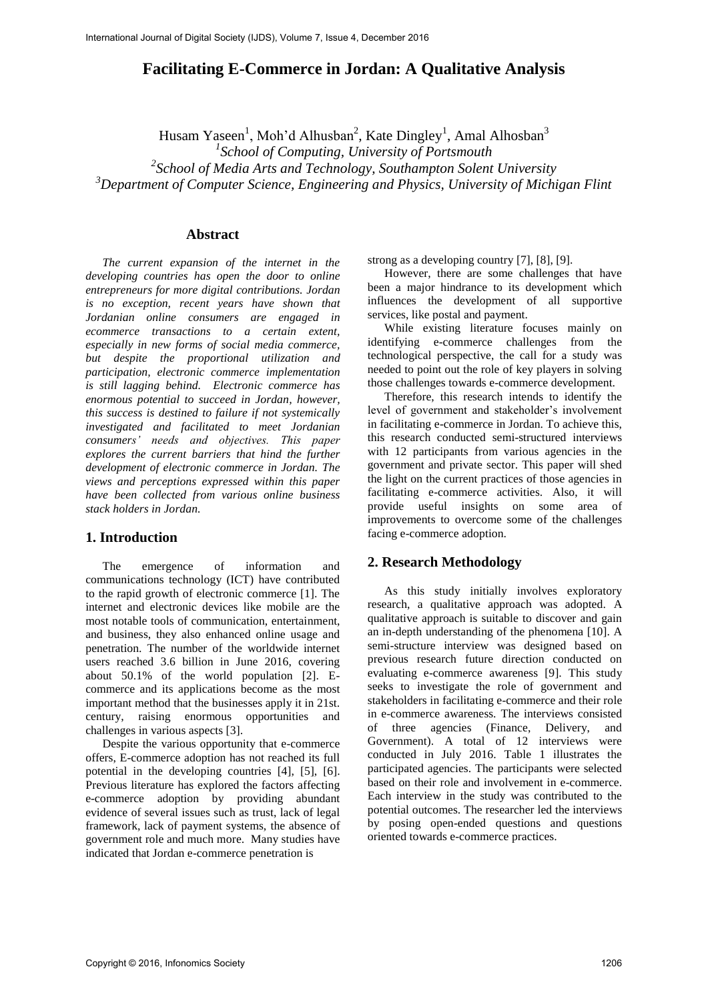# **Facilitating E-Commerce in Jordan: A Qualitative Analysis**

Husam Yaseen<sup>1</sup>, Moh'd Alhusban<sup>2</sup>, Kate Dingley<sup>1</sup>, Amal Alhosban<sup>3</sup>

*1 School of Computing, University of Portsmouth* 

*2 School of Media Arts and Technology, Southampton Solent University* 

*<sup>3</sup>Department of Computer Science, Engineering and Physics, University of Michigan Flint* 

#### **Abstract**

*The current expansion of the internet in the developing countries has open the door to online entrepreneurs for more digital contributions. Jordan is no exception, recent years have shown that Jordanian online consumers are engaged in ecommerce transactions to a certain extent, especially in new forms of social media commerce, but despite the proportional utilization and participation, electronic commerce implementation is still lagging behind. Electronic commerce has enormous potential to succeed in Jordan, however, this success is destined to failure if not systemically investigated and facilitated to meet Jordanian consumers' needs and objectives. This paper explores the current barriers that hind the further development of electronic commerce in Jordan. The views and perceptions expressed within this paper have been collected from various online business stack holders in Jordan.* 

### **1. Introduction**

The emergence of information and communications technology (ICT) have contributed to the rapid growth of electronic commerce [1]. The internet and electronic devices like mobile are the most notable tools of communication, entertainment, and business, they also enhanced online usage and penetration. The number of the worldwide internet users reached 3.6 billion in June 2016, covering about 50.1% of the world population [2]. Ecommerce and its applications become as the most important method that the businesses apply it in 21st. century, raising enormous opportunities and challenges in various aspects [3].

Despite the various opportunity that e-commerce offers, E-commerce adoption has not reached its full potential in the developing countries [4], [5], [6]. Previous literature has explored the factors affecting e-commerce adoption by providing abundant evidence of several issues such as trust, lack of legal framework, lack of payment systems, the absence of government role and much more. Many studies have indicated that Jordan e-commerce penetration is

strong as a developing country [7], [8], [9].

However, there are some challenges that have been a major hindrance to its development which influences the development of all supportive services, like postal and payment.

While existing literature focuses mainly on identifying e-commerce challenges from the technological perspective, the call for a study was needed to point out the role of key players in solving those challenges towards e-commerce development.

Therefore, this research intends to identify the level of government and stakeholder's involvement in facilitating e-commerce in Jordan. To achieve this, this research conducted semi-structured interviews with 12 participants from various agencies in the government and private sector. This paper will shed the light on the current practices of those agencies in facilitating e-commerce activities. Also, it will provide useful insights on some area of improvements to overcome some of the challenges facing e-commerce adoption.

#### **2. Research Methodology**

As this study initially involves exploratory research, a qualitative approach was adopted. A qualitative approach is suitable to discover and gain an in-depth understanding of the phenomena [10]. A semi-structure interview was designed based on previous research future direction conducted on evaluating e-commerce awareness [9]. This study seeks to investigate the role of government and stakeholders in facilitating e-commerce and their role in e-commerce awareness. The interviews consisted of three agencies (Finance, Delivery, and Government). A total of 12 interviews were conducted in July 2016. Table 1 illustrates the participated agencies. The participants were selected based on their role and involvement in e-commerce. Each interview in the study was contributed to the potential outcomes. The researcher led the interviews by posing open-ended questions and questions oriented towards e-commerce practices.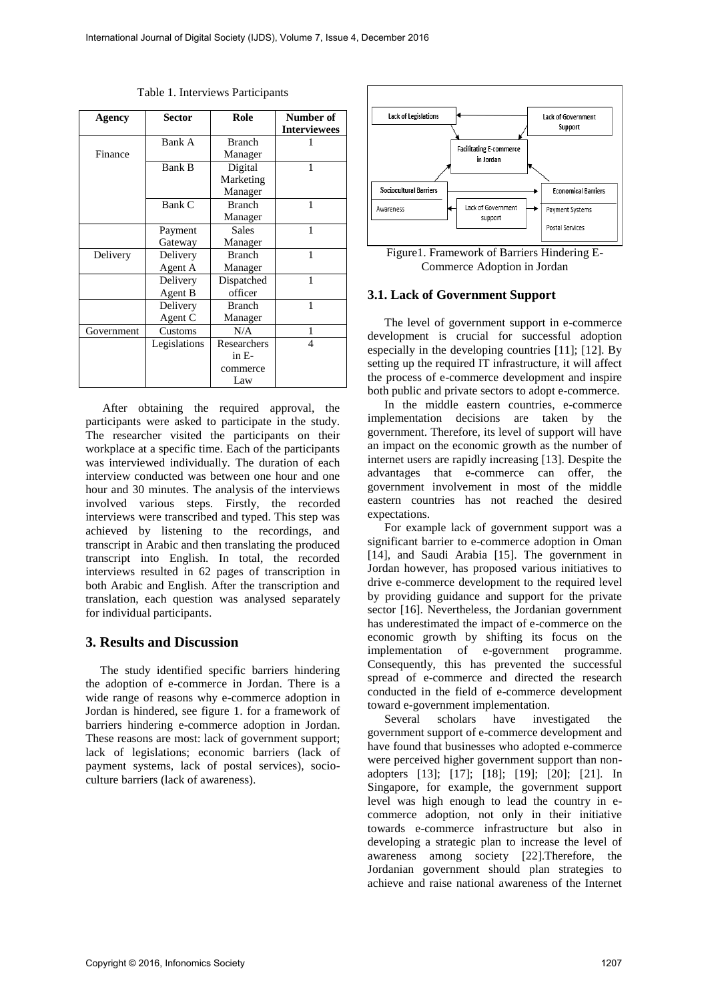| Agency     | <b>Sector</b> | Role          | Number of<br><b>Interviewees</b> |
|------------|---------------|---------------|----------------------------------|
|            | Bank A        | <b>Branch</b> |                                  |
| Finance    |               | Manager       |                                  |
|            | Bank B        | Digital       | 1                                |
|            |               | Marketing     |                                  |
|            |               | Manager       |                                  |
|            | Bank C        | <b>Branch</b> |                                  |
|            |               | Manager       |                                  |
|            | Payment       | <b>Sales</b>  | 1                                |
|            | Gateway       | Manager       |                                  |
| Delivery   | Delivery      | <b>Branch</b> | 1                                |
|            | Agent A       | Manager       |                                  |
|            | Delivery      | Dispatched    |                                  |
|            | Agent B       | officer       |                                  |
|            | Delivery      | <b>Branch</b> | 1                                |
|            | Agent C       | Manager       |                                  |
| Government | Customs       | N/A           | 1                                |
|            | Legislations  | Researchers   | 4                                |
|            |               | $in E-$       |                                  |
|            |               | commerce      |                                  |
|            |               | Law           |                                  |

Table 1. Interviews Participants

After obtaining the required approval, the participants were asked to participate in the study. The researcher visited the participants on their workplace at a specific time. Each of the participants was interviewed individually. The duration of each interview conducted was between one hour and one hour and 30 minutes. The analysis of the interviews involved various steps. Firstly, the recorded interviews were transcribed and typed. This step was achieved by listening to the recordings, and transcript in Arabic and then translating the produced transcript into English. In total, the recorded interviews resulted in 62 pages of transcription in both Arabic and English. After the transcription and translation, each question was analysed separately for individual participants.

### **3. Results and Discussion**

The study identified specific barriers hindering the adoption of e-commerce in Jordan. There is a wide range of reasons why e-commerce adoption in Jordan is hindered, see figure 1. for a framework of barriers hindering e-commerce adoption in Jordan. These reasons are most: lack of government support; lack of legislations; economic barriers (lack of payment systems, lack of postal services), socioculture barriers (lack of awareness).



Figure1. Framework of Barriers Hindering E-Commerce Adoption in Jordan

#### **3.1. Lack of Government Support**

The level of government support in e-commerce development is crucial for successful adoption especially in the developing countries [11]; [12]. By setting up the required IT infrastructure, it will affect the process of e-commerce development and inspire both public and private sectors to adopt e-commerce.

In the middle eastern countries, e-commerce implementation decisions are taken by the government. Therefore, its level of support will have an impact on the economic growth as the number of internet users are rapidly increasing [13]. Despite the advantages that e-commerce can offer, the government involvement in most of the middle eastern countries has not reached the desired expectations.

For example lack of government support was a significant barrier to e-commerce adoption in Oman [14], and Saudi Arabia [15]. The government in Jordan however, has proposed various initiatives to drive e-commerce development to the required level by providing guidance and support for the private sector [16]. Nevertheless, the Jordanian government has underestimated the impact of e-commerce on the economic growth by shifting its focus on the implementation of e-government programme. Consequently, this has prevented the successful spread of e-commerce and directed the research conducted in the field of e-commerce development toward e-government implementation.

Several scholars have investigated the government support of e-commerce development and have found that businesses who adopted e-commerce were perceived higher government support than nonadopters [13]; [17]; [18]; [19]; [20]; [21]. In Singapore, for example, the government support level was high enough to lead the country in ecommerce adoption, not only in their initiative towards e-commerce infrastructure but also in developing a strategic plan to increase the level of awareness among society [22].Therefore, the Jordanian government should plan strategies to achieve and raise national awareness of the Internet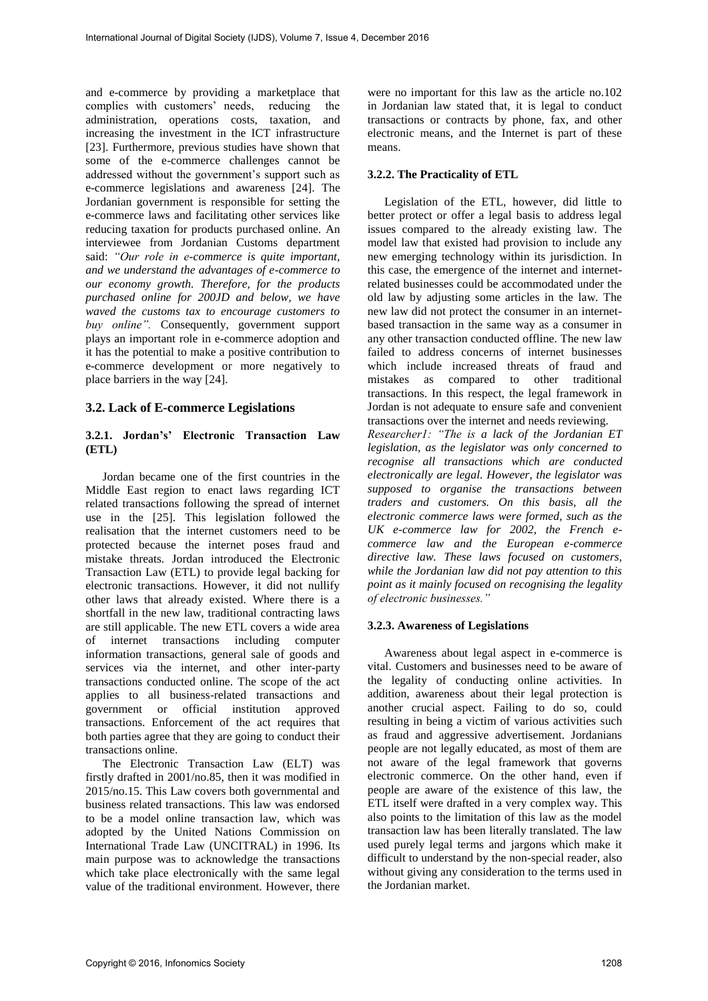and e-commerce by providing a marketplace that complies with customers' needs, reducing the administration, operations costs, taxation, and increasing the investment in the ICT infrastructure [23]. Furthermore, previous studies have shown that some of the e-commerce challenges cannot be addressed without the government's support such as e-commerce legislations and awareness [24]. The Jordanian government is responsible for setting the e-commerce laws and facilitating other services like reducing taxation for products purchased online. An interviewee from Jordanian Customs department said: *"Our role in e-commerce is quite important, and we understand the advantages of e-commerce to our economy growth. Therefore, for the products purchased online for 200JD and below, we have waved the customs tax to encourage customers to buy online".* Consequently, government support plays an important role in e-commerce adoption and it has the potential to make a positive contribution to e-commerce development or more negatively to place barriers in the way [24].

### **3.2. Lack of E-commerce Legislations**

### **3.2.1. Jordan's' Electronic Transaction Law (ETL)**

Jordan became one of the first countries in the Middle East region to enact laws regarding ICT related transactions following the spread of internet use in the [25]. This legislation followed the realisation that the internet customers need to be protected because the internet poses fraud and mistake threats. Jordan introduced the Electronic Transaction Law (ETL) to provide legal backing for electronic transactions. However, it did not nullify other laws that already existed. Where there is a shortfall in the new law, traditional contracting laws are still applicable. The new ETL covers a wide area of internet transactions including computer information transactions, general sale of goods and services via the internet, and other inter-party transactions conducted online. The scope of the act applies to all business-related transactions and government or official institution approved transactions. Enforcement of the act requires that both parties agree that they are going to conduct their transactions online.

The Electronic Transaction Law (ELT) was firstly drafted in 2001/no.85, then it was modified in 2015/no.15. This Law covers both governmental and business related transactions. This law was endorsed to be a model online transaction law, which was adopted by the United Nations Commission on International Trade Law (UNCITRAL) in 1996. Its main purpose was to acknowledge the transactions which take place electronically with the same legal value of the traditional environment. However, there

were no important for this law as the article no.102 in Jordanian law stated that, it is legal to conduct transactions or contracts by phone, fax, and other electronic means, and the Internet is part of these means.

#### **3.2.2. The Practicality of ETL**

Legislation of the ETL, however, did little to better protect or offer a legal basis to address legal issues compared to the already existing law. The model law that existed had provision to include any new emerging technology within its jurisdiction. In this case, the emergence of the internet and internetrelated businesses could be accommodated under the old law by adjusting some articles in the law. The new law did not protect the consumer in an internetbased transaction in the same way as a consumer in any other transaction conducted offline. The new law failed to address concerns of internet businesses which include increased threats of fraud and mistakes as compared to other traditional transactions. In this respect, the legal framework in Jordan is not adequate to ensure safe and convenient transactions over the internet and needs reviewing.

*Researcher1: "The is a lack of the Jordanian ET legislation, as the legislator was only concerned to recognise all transactions which are conducted electronically are legal. However, the legislator was supposed to organise the transactions between traders and customers. On this basis, all the electronic commerce laws were formed, such as the UK e-commerce law for 2002, the French ecommerce law and the European e-commerce directive law. These laws focused on customers, while the Jordanian law did not pay attention to this point as it mainly focused on recognising the legality of electronic businesses."*

#### **3.2.3. Awareness of Legislations**

Awareness about legal aspect in e-commerce is vital. Customers and businesses need to be aware of the legality of conducting online activities. In addition, awareness about their legal protection is another crucial aspect. Failing to do so, could resulting in being a victim of various activities such as fraud and aggressive advertisement. Jordanians people are not legally educated, as most of them are not aware of the legal framework that governs electronic commerce. On the other hand, even if people are aware of the existence of this law, the ETL itself were drafted in a very complex way. This also points to the limitation of this law as the model transaction law has been literally translated. The law used purely legal terms and jargons which make it difficult to understand by the non-special reader, also without giving any consideration to the terms used in the Jordanian market.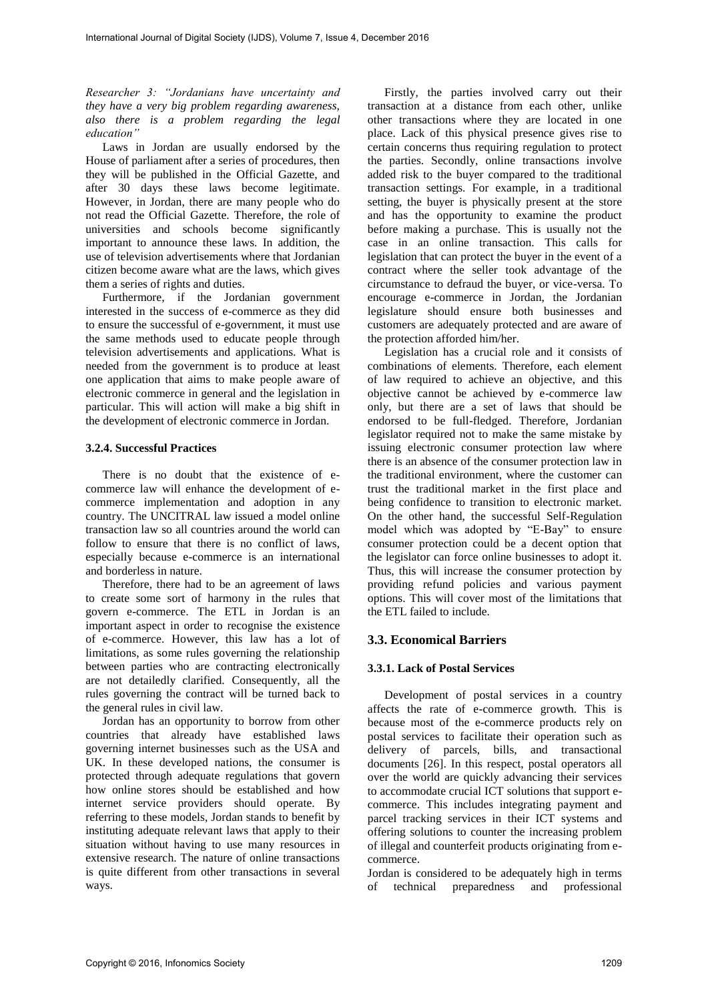*Researcher 3: "Jordanians have uncertainty and they have a very big problem regarding awareness, also there is a problem regarding the legal education"*

Laws in Jordan are usually endorsed by the House of parliament after a series of procedures, then they will be published in the Official Gazette, and after 30 days these laws become legitimate. However, in Jordan, there are many people who do not read the Official Gazette. Therefore, the role of universities and schools become significantly important to announce these laws. In addition, the use of television advertisements where that Jordanian citizen become aware what are the laws, which gives them a series of rights and duties.

Furthermore, if the Jordanian government interested in the success of e-commerce as they did to ensure the successful of e-government, it must use the same methods used to educate people through television advertisements and applications. What is needed from the government is to produce at least one application that aims to make people aware of electronic commerce in general and the legislation in particular. This will action will make a big shift in the development of electronic commerce in Jordan.

#### **3.2.4. Successful Practices**

There is no doubt that the existence of ecommerce law will enhance the development of ecommerce implementation and adoption in any country. The UNCITRAL law issued a model online transaction law so all countries around the world can follow to ensure that there is no conflict of laws, especially because e-commerce is an international and borderless in nature.

Therefore, there had to be an agreement of laws to create some sort of harmony in the rules that govern e-commerce. The ETL in Jordan is an important aspect in order to recognise the existence of e-commerce. However, this law has a lot of limitations, as some rules governing the relationship between parties who are contracting electronically are not detailedly clarified. Consequently, all the rules governing the contract will be turned back to the general rules in civil law.

Jordan has an opportunity to borrow from other countries that already have established laws governing internet businesses such as the USA and UK. In these developed nations, the consumer is protected through adequate regulations that govern how online stores should be established and how internet service providers should operate. By referring to these models, Jordan stands to benefit by instituting adequate relevant laws that apply to their situation without having to use many resources in extensive research. The nature of online transactions is quite different from other transactions in several ways.

Firstly, the parties involved carry out their transaction at a distance from each other, unlike other transactions where they are located in one place. Lack of this physical presence gives rise to certain concerns thus requiring regulation to protect the parties. Secondly, online transactions involve added risk to the buyer compared to the traditional transaction settings. For example, in a traditional setting, the buyer is physically present at the store and has the opportunity to examine the product before making a purchase. This is usually not the case in an online transaction. This calls for legislation that can protect the buyer in the event of a contract where the seller took advantage of the circumstance to defraud the buyer, or vice-versa. To encourage e-commerce in Jordan, the Jordanian legislature should ensure both businesses and customers are adequately protected and are aware of the protection afforded him/her.

Legislation has a crucial role and it consists of combinations of elements. Therefore, each element of law required to achieve an objective, and this objective cannot be achieved by e-commerce law only, but there are a set of laws that should be endorsed to be full-fledged. Therefore, Jordanian legislator required not to make the same mistake by issuing electronic consumer protection law where there is an absence of the consumer protection law in the traditional environment, where the customer can trust the traditional market in the first place and being confidence to transition to electronic market. On the other hand, the successful Self-Regulation model which was adopted by "E-Bay" to ensure consumer protection could be a decent option that the legislator can force online businesses to adopt it. Thus, this will increase the consumer protection by providing refund policies and various payment options. This will cover most of the limitations that the ETL failed to include.

### **3.3. Economical Barriers**

#### **3.3.1. Lack of Postal Services**

Development of postal services in a country affects the rate of e-commerce growth. This is because most of the e-commerce products rely on postal services to facilitate their operation such as delivery of parcels, bills, and transactional documents [26]. In this respect, postal operators all over the world are quickly advancing their services to accommodate crucial ICT solutions that support ecommerce. This includes integrating payment and parcel tracking services in their ICT systems and offering solutions to counter the increasing problem of illegal and counterfeit products originating from ecommerce.

Jordan is considered to be adequately high in terms of technical preparedness and professional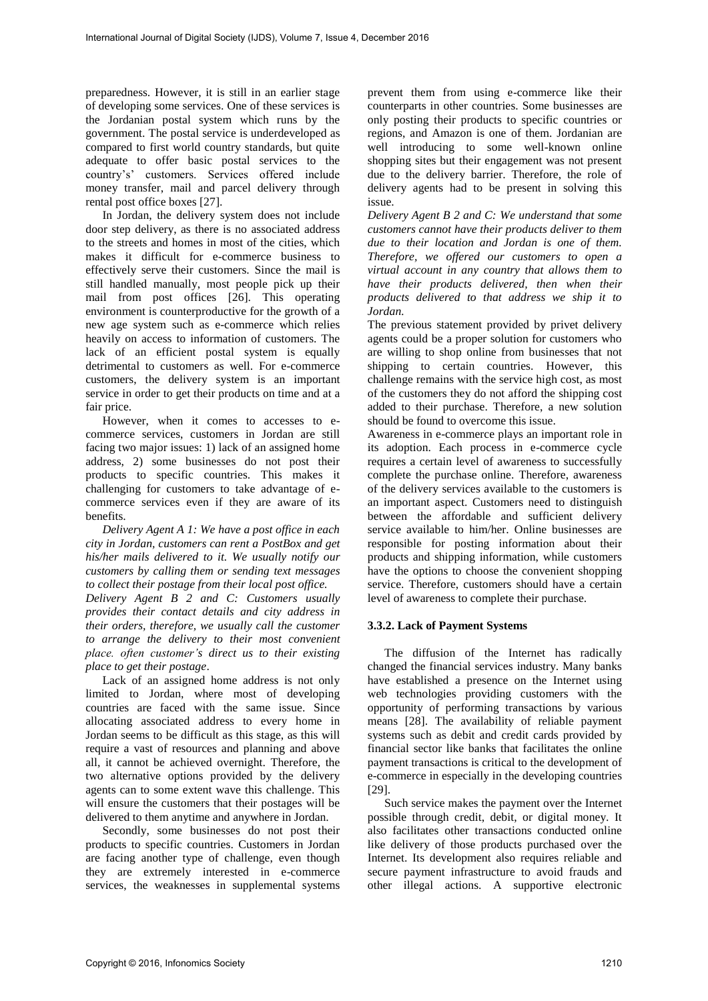preparedness. However, it is still in an earlier stage of developing some services. One of these services is the Jordanian postal system which runs by the government. The postal service is underdeveloped as compared to first world country standards, but quite adequate to offer basic postal services to the country's' customers. Services offered include money transfer, mail and parcel delivery through rental post office boxes [27].

In Jordan, the delivery system does not include door step delivery, as there is no associated address to the streets and homes in most of the cities, which makes it difficult for e-commerce business to effectively serve their customers. Since the mail is still handled manually, most people pick up their mail from post offices [26]. This operating environment is counterproductive for the growth of a new age system such as e-commerce which relies heavily on access to information of customers. The lack of an efficient postal system is equally detrimental to customers as well. For e-commerce customers, the delivery system is an important service in order to get their products on time and at a fair price.

However, when it comes to accesses to ecommerce services, customers in Jordan are still facing two major issues: 1) lack of an assigned home address, 2) some businesses do not post their products to specific countries. This makes it challenging for customers to take advantage of ecommerce services even if they are aware of its benefits.

*Delivery Agent A 1: We have a post office in each city in Jordan, customers can rent a PostBox and get his/her mails delivered to it. We usually notify our customers by calling them or sending text messages to collect their postage from their local post office.* 

*Delivery Agent B 2 and C: Customers usually provides their contact details and city address in their orders, therefore, we usually call the customer to arrange the delivery to their most convenient place. often customer's direct us to their existing place to get their postage*.

Lack of an assigned home address is not only limited to Jordan, where most of developing countries are faced with the same issue. Since allocating associated address to every home in Jordan seems to be difficult as this stage, as this will require a vast of resources and planning and above all, it cannot be achieved overnight. Therefore, the two alternative options provided by the delivery agents can to some extent wave this challenge. This will ensure the customers that their postages will be delivered to them anytime and anywhere in Jordan.

Secondly, some businesses do not post their products to specific countries. Customers in Jordan are facing another type of challenge, even though they are extremely interested in e-commerce services, the weaknesses in supplemental systems

prevent them from using e-commerce like their counterparts in other countries. Some businesses are only posting their products to specific countries or regions, and Amazon is one of them. Jordanian are well introducing to some well-known online shopping sites but their engagement was not present due to the delivery barrier. Therefore, the role of delivery agents had to be present in solving this issue.

*Delivery Agent B 2 and C: We understand that some customers cannot have their products deliver to them due to their location and Jordan is one of them. Therefore, we offered our customers to open a virtual account in any country that allows them to have their products delivered, then when their products delivered to that address we ship it to Jordan.* 

The previous statement provided by privet delivery agents could be a proper solution for customers who are willing to shop online from businesses that not shipping to certain countries. However, this challenge remains with the service high cost, as most of the customers they do not afford the shipping cost added to their purchase. Therefore, a new solution should be found to overcome this issue.

Awareness in e-commerce plays an important role in its adoption. Each process in e-commerce cycle requires a certain level of awareness to successfully complete the purchase online. Therefore, awareness of the delivery services available to the customers is an important aspect. Customers need to distinguish between the affordable and sufficient delivery service available to him/her. Online businesses are responsible for posting information about their products and shipping information, while customers have the options to choose the convenient shopping service. Therefore, customers should have a certain level of awareness to complete their purchase.

#### **3.3.2. Lack of Payment Systems**

The diffusion of the Internet has radically changed the financial services industry. Many banks have established a presence on the Internet using web technologies providing customers with the opportunity of performing transactions by various means [28]. The availability of reliable payment systems such as debit and credit cards provided by financial sector like banks that facilitates the online payment transactions is critical to the development of e-commerce in especially in the developing countries [29].

Such service makes the payment over the Internet possible through credit, debit, or digital money. It also facilitates other transactions conducted online like delivery of those products purchased over the Internet. Its development also requires reliable and secure payment infrastructure to avoid frauds and other illegal actions. A supportive electronic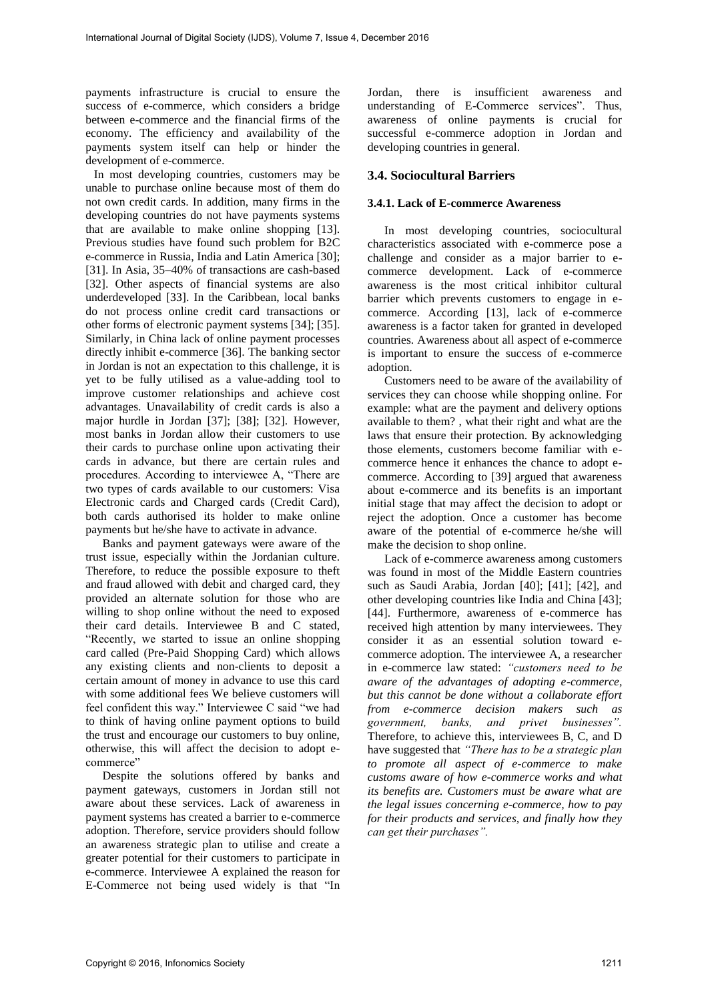payments infrastructure is crucial to ensure the success of e-commerce, which considers a bridge between e-commerce and the financial firms of the economy. The efficiency and availability of the payments system itself can help or hinder the development of e-commerce.

In most developing countries, customers may be unable to purchase online because most of them do not own credit cards. In addition, many firms in the developing countries do not have payments systems that are available to make online shopping [13]. Previous studies have found such problem for B2C e-commerce in Russia, India and Latin America [30]; [31]. In Asia, 35–40% of transactions are cash-based [32]. Other aspects of financial systems are also underdeveloped [33]. In the Caribbean, local banks do not process online credit card transactions or other forms of electronic payment systems [34]; [35]. Similarly, in China lack of online payment processes directly inhibit e-commerce [36]. The banking sector in Jordan is not an expectation to this challenge, it is yet to be fully utilised as a value-adding tool to improve customer relationships and achieve cost advantages. Unavailability of credit cards is also a major hurdle in Jordan [37]; [38]; [32]. However, most banks in Jordan allow their customers to use their cards to purchase online upon activating their cards in advance, but there are certain rules and procedures. According to interviewee A, "There are two types of cards available to our customers: Visa Electronic cards and Charged cards (Credit Card), both cards authorised its holder to make online payments but he/she have to activate in advance.

Banks and payment gateways were aware of the trust issue, especially within the Jordanian culture. Therefore, to reduce the possible exposure to theft and fraud allowed with debit and charged card, they provided an alternate solution for those who are willing to shop online without the need to exposed their card details. Interviewee B and C stated, "Recently, we started to issue an online shopping card called (Pre-Paid Shopping Card) which allows any existing clients and non-clients to deposit a certain amount of money in advance to use this card with some additional fees We believe customers will feel confident this way." Interviewee C said "we had to think of having online payment options to build the trust and encourage our customers to buy online, otherwise, this will affect the decision to adopt ecommerce"

Despite the solutions offered by banks and payment gateways, customers in Jordan still not aware about these services. Lack of awareness in payment systems has created a barrier to e-commerce adoption. Therefore, service providers should follow an awareness strategic plan to utilise and create a greater potential for their customers to participate in e-commerce. Interviewee A explained the reason for E-Commerce not being used widely is that "In Jordan, there is insufficient awareness and understanding of E-Commerce services". Thus, awareness of online payments is crucial for successful e-commerce adoption in Jordan and developing countries in general.

### **3.4. Sociocultural Barriers**

#### **3.4.1. Lack of E-commerce Awareness**

In most developing countries, sociocultural characteristics associated with e-commerce pose a challenge and consider as a major barrier to ecommerce development. Lack of e-commerce awareness is the most critical inhibitor cultural barrier which prevents customers to engage in ecommerce. According [13], lack of e-commerce awareness is a factor taken for granted in developed countries. Awareness about all aspect of e-commerce is important to ensure the success of e-commerce adoption

Customers need to be aware of the availability of services they can choose while shopping online. For example: what are the payment and delivery options available to them? , what their right and what are the laws that ensure their protection. By acknowledging those elements, customers become familiar with ecommerce hence it enhances the chance to adopt ecommerce. According to [39] argued that awareness about e-commerce and its benefits is an important initial stage that may affect the decision to adopt or reject the adoption. Once a customer has become aware of the potential of e-commerce he/she will make the decision to shop online.

Lack of e-commerce awareness among customers was found in most of the Middle Eastern countries such as Saudi Arabia, Jordan [40]; [41]; [42], and other developing countries like India and China [43]; [44]. Furthermore, awareness of e-commerce has received high attention by many interviewees. They consider it as an essential solution toward ecommerce adoption. The interviewee A, a researcher in e-commerce law stated: *"customers need to be aware of the advantages of adopting e-commerce, but this cannot be done without a collaborate effort from e-commerce decision makers such as government, banks, and privet businesses".* Therefore, to achieve this, interviewees B, C, and D have suggested that *"There has to be a strategic plan to promote all aspect of e-commerce to make customs aware of how e-commerce works and what its benefits are. Customers must be aware what are the legal issues concerning e-commerce, how to pay for their products and services, and finally how they can get their purchases".*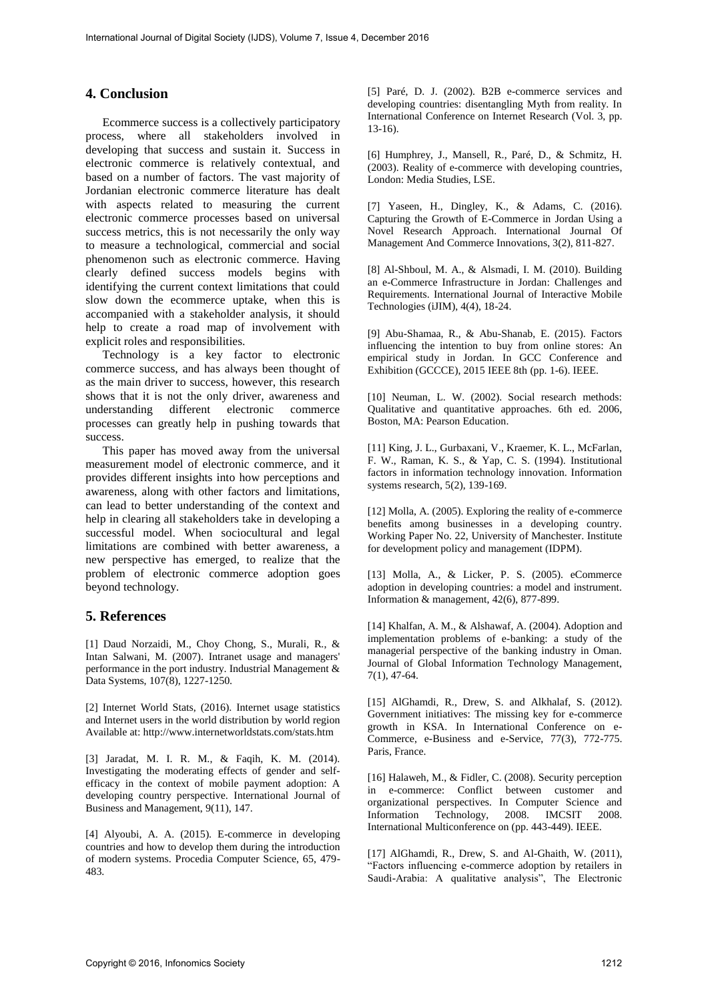## **4. Conclusion**

Ecommerce success is a collectively participatory process, where all stakeholders involved in developing that success and sustain it. Success in electronic commerce is relatively contextual, and based on a number of factors. The vast majority of Jordanian electronic commerce literature has dealt with aspects related to measuring the current electronic commerce processes based on universal success metrics, this is not necessarily the only way to measure a technological, commercial and social phenomenon such as electronic commerce. Having clearly defined success models begins with identifying the current context limitations that could slow down the ecommerce uptake, when this is accompanied with a stakeholder analysis, it should help to create a road map of involvement with explicit roles and responsibilities.

Technology is a key factor to electronic commerce success, and has always been thought of as the main driver to success, however, this research shows that it is not the only driver, awareness and understanding different electronic commerce processes can greatly help in pushing towards that success.

This paper has moved away from the universal measurement model of electronic commerce, and it provides different insights into how perceptions and awareness, along with other factors and limitations, can lead to better understanding of the context and help in clearing all stakeholders take in developing a successful model. When sociocultural and legal limitations are combined with better awareness, a new perspective has emerged, to realize that the problem of electronic commerce adoption goes beyond technology.

### **5. References**

[1] Daud Norzaidi, M., Choy Chong, S., Murali, R., & Intan Salwani, M. (2007). Intranet usage and managers' performance in the port industry. Industrial Management & Data Systems, 107(8), 1227-1250.

[2] Internet World Stats, (2016). Internet usage statistics and Internet users in the world distribution by world region Available at: http://www.internetworldstats.com/stats.htm

[3] Jaradat, M. I. R. M., & Faqih, K. M. (2014). Investigating the moderating effects of gender and selfefficacy in the context of mobile payment adoption: A developing country perspective. International Journal of Business and Management, 9(11), 147.

[4] Alyoubi, A. A. (2015). E-commerce in developing countries and how to develop them during the introduction of modern systems. Procedia Computer Science, 65, 479- 483.

[5] Paré, D. J. (2002). B2B e-commerce services and developing countries: disentangling Myth from reality. In International Conference on Internet Research (Vol. 3, pp. 13-16).

[6] Humphrey, J., Mansell, R., Paré, D., & Schmitz, H. (2003). Reality of e-commerce with developing countries, London: Media Studies, LSE.

[7] Yaseen, H., Dingley, K., & Adams, C. (2016). Capturing the Growth of E-Commerce in Jordan Using a Novel Research Approach. International Journal Of Management And Commerce Innovations, 3(2), 811-827.

[8] Al-Shboul, M. A., & Alsmadi, I. M. (2010). Building an e-Commerce Infrastructure in Jordan: Challenges and Requirements. International Journal of Interactive Mobile Technologies (iJIM), 4(4), 18-24.

[9] Abu-Shamaa, R., & Abu-Shanab, E. (2015). Factors influencing the intention to buy from online stores: An empirical study in Jordan. In GCC Conference and Exhibition (GCCCE), 2015 IEEE 8th (pp. 1-6). IEEE.

[10] Neuman, L. W. (2002). Social research methods: Qualitative and quantitative approaches. 6th ed. 2006, Boston, MA: Pearson Education.

[11] King, J. L., Gurbaxani, V., Kraemer, K. L., McFarlan, F. W., Raman, K. S., & Yap, C. S. (1994). Institutional factors in information technology innovation. Information systems research, 5(2), 139-169.

[12] Molla, A. (2005). Exploring the reality of e-commerce benefits among businesses in a developing country. Working Paper No. 22, University of Manchester. Institute for development policy and management (IDPM).

[13] Molla, A., & Licker, P. S. (2005). eCommerce adoption in developing countries: a model and instrument. Information & management, 42(6), 877-899.

[14] Khalfan, A. M., & Alshawaf, A. (2004). Adoption and implementation problems of e-banking: a study of the managerial perspective of the banking industry in Oman. Journal of Global Information Technology Management, 7(1), 47-64.

[15] AlGhamdi, R., Drew, S. and Alkhalaf, S. (2012). Government initiatives: The missing key for e-commerce growth in KSA. In International Conference on e-Commerce, e-Business and e-Service, 77(3), 772-775. Paris, France.

[16] Halaweh, M., & Fidler, C. (2008). Security perception in e-commerce: Conflict between customer and organizational perspectives. In Computer Science and Information Technology, 2008. IMCSIT 2008. International Multiconference on (pp. 443-449). IEEE.

[17] AlGhamdi, R., Drew, S. and Al-Ghaith, W. (2011), "Factors influencing e-commerce adoption by retailers in Saudi-Arabia: A qualitative analysis", The Electronic